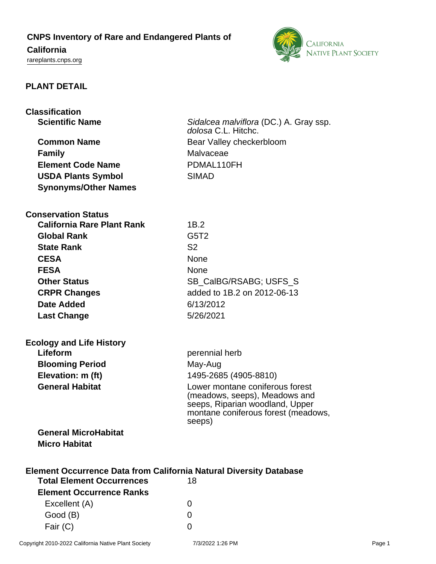## **CNPS Inventory of Rare and Endangered Plants of**

## **California**

<rareplants.cnps.org>



## **PLANT DETAIL**

# **Classification**

**Family** Malvaceae **Element Code Name** PDMAL110FH **USDA Plants Symbol** SIMAD **Synonyms/Other Names**

**Scientific Name** Sidalcea malviflora (DC.) A. Gray ssp. dolosa C.L. Hitchc. **Common Name** Bear Valley checkerbloom

#### **Conservation Status**

| <b>California Rare Plant Rank</b> | 1B.2                          |
|-----------------------------------|-------------------------------|
| <b>Global Rank</b>                | G <sub>5</sub> T <sub>2</sub> |
| <b>State Rank</b>                 | S <sub>2</sub>                |
| <b>CESA</b>                       | <b>None</b>                   |
| <b>FESA</b>                       | <b>None</b>                   |
| <b>Other Status</b>               | SB CalBG/RSABG; USFS S        |
| <b>CRPR Changes</b>               | added to 1B.2 on 2012-06-13   |
| <b>Date Added</b>                 | 6/13/2012                     |
| <b>Last Change</b>                | 5/26/2021                     |
|                                   |                               |

| <b>Ecology and Life History</b> |
|---------------------------------|
| Lifeform                        |
| <b>Blooming Period</b>          |
| Elevation: m (ft)               |
| <b>General Habitat</b>          |
|                                 |

perennial herb **May-Aug Elevation: m (ft)** 1495-2685 (4905-8810) Lower montane coniferous forest (meadows, seeps), Meadows and seeps, Riparian woodland, Upper montane coniferous forest (meadows,

## **General MicroHabitat Micro Habitat**

| <b>Element Occurrence Data from California Natural Diversity Database</b> |                   |  |
|---------------------------------------------------------------------------|-------------------|--|
| <b>Total Element Occurrences</b>                                          | 18                |  |
| <b>Element Occurrence Ranks</b>                                           |                   |  |
| Excellent (A)                                                             |                   |  |
| Good (B)                                                                  | $\mathbf{\Omega}$ |  |
| Fair (C)                                                                  |                   |  |

seeps)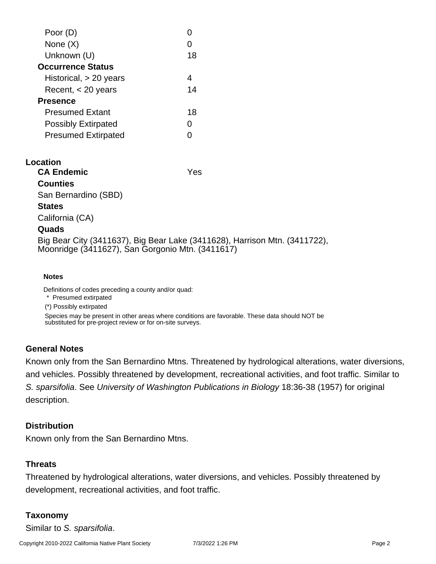| Poor (D)                   |    |
|----------------------------|----|
| None $(X)$                 |    |
| Unknown (U)                | 18 |
| <b>Occurrence Status</b>   |    |
| Historical, $> 20$ years   | 4  |
| Recent, $<$ 20 years       | 14 |
| <b>Presence</b>            |    |
| <b>Presumed Extant</b>     | 18 |
| <b>Possibly Extirpated</b> | ი  |
| <b>Presumed Extirpated</b> |    |
|                            |    |

#### **Location**

**CA Endemic** Yes **Counties** San Bernardino (SBD) **States** California (CA) **Quads**

Big Bear City (3411637), Big Bear Lake (3411628), Harrison Mtn. (3411722), Moonridge (3411627), San Gorgonio Mtn. (3411617)

#### **Notes**

Definitions of codes preceding a county and/or quad:

\* Presumed extirpated

(\*) Possibly extirpated

Species may be present in other areas where conditions are favorable. These data should NOT be substituted for pre-project review or for on-site surveys.

## **General Notes**

Known only from the San Bernardino Mtns. Threatened by hydrological alterations, water diversions, and vehicles. Possibly threatened by development, recreational activities, and foot traffic. Similar to S. sparsifolia. See University of Washington Publications in Biology 18:36-38 (1957) for original description.

## **Distribution**

Known only from the San Bernardino Mtns.

## **Threats**

Threatened by hydrological alterations, water diversions, and vehicles. Possibly threatened by development, recreational activities, and foot traffic.

## **Taxonomy**

Similar to S. sparsifolia.